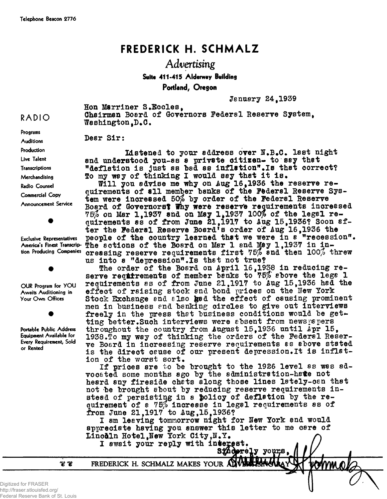## **FREDERICK H. SCHMALZ**

## Advertising **Suite 411-415 Alderway Building Portland, Oregon**

**January 24t1939**

**Hon Marriner S.Bccles, Chairman Board of Governors Federal Reserve System<sup>t</sup>** Washington.D.C.

**Dear Sir:**

**Listened to your address over N.B.C. last night and understood you-as a private citizen- to say that "deflation is just as bad as inflation",Is that correct? So my way of thinking I would say that it is#**

Will you advise me why on Aug 16.1936 the reserve requirements of all member banks of the Federal Reserve Sys**tem were increased 50\$ by order of the Federal Reserve** Board of Governors? Why were reserve requirements increased **75\$ on Mar lf1937 and on May 1\*1937 100% of the legal requirements as of from June 21f1917 to Aug 15f1936? Soon after the Federal Reserve Board<sup>1</sup>s order of Aug 16t1936 the people of the country learned that we were in a "recession".** The actions of the Board on Mar 1 and May 1.1937 in in**creasing reserve requirements first 75\$ and then 100\$ threw us into a "depression".Is that not true?**

The order of the Board on April 16,1938 in reducing re**serve requirements of member banks to 75\$ above the lega 1 requirements as of from June El,1917 to Aug 15f1936 had the effect of raising stock and bond prices on the lew York** Stock Exchange and also gad the effect of causing prominent **men in business end banking circles to give out interviews** freely in the press that business conditions would be getting better. Such interviews were absent from newspapers **throughout the country from August 15f1936 until Apr 15<sup>f</sup> 1938.To my way of thinking the orders of the Federal Reserve Board in increasing reserve requirements as above stated** is the direct cause of our present depression. It is inflation of the worst sort.

**If prices are to be brought to the 19E6 level as was advocated some months ago by the administration-hate not heard any fireside chats along those lines lately-can that not be brought about by reducing reserve requirements instead of persisting in a policy of deflation by the requirement of a 75\$ increase in legal requirements as of from June 21f1917 to Augt15f1936?**

**I am leaving tomnorrow night for lew York and would appreciate having you answer this letter to me care of Iiino&ln Hotel fHew York OityfI«Y#**

I await your reply with interest.<br>Sinderely yours,

**FREDERICK H. SCHMALZ MAKES YOUR**

જી જી

**Radio Counsel Commercial Copy Announcement Service**

**RADIO**

**Prosrams Auditions Production Live Talent Transcriptions Merchandising**

**Exclusive Representatives America's Finest Transcription Producing Companies**

**OUR Program for YOU Awaits Auditioning in Your Own Offices**

**Portable Public Address Equipment Available for Every Requirement, Sold or Rented**